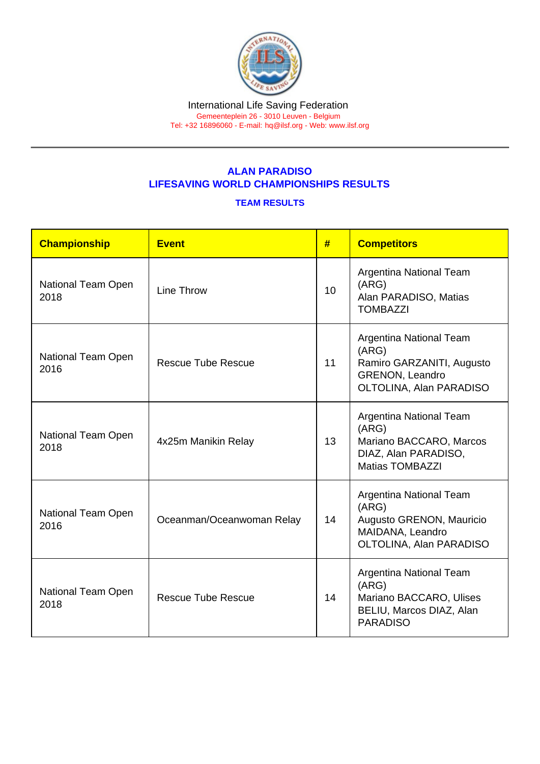## ALAN PARADISO LIFESAVING WORLD CHAMPIONSHIPS RESULTS

## TEAM RESULTS

| Championship               | <b>Event</b>              | #  | <b>Competitors</b>                                                                                                 |
|----------------------------|---------------------------|----|--------------------------------------------------------------------------------------------------------------------|
| National Team Open<br>2018 | Line Throw                | 10 | Argentina National Team<br>(ARG)<br>Alan PARADISO, Matias<br><b>TOMBAZZI</b>                                       |
| National Team Open<br>2016 | <b>Rescue Tube Rescue</b> | 11 | Argentina National Team<br>(ARG)<br>Ramiro GARZANITI, Augusto<br><b>GRENON, Leandro</b><br>OLTOLINA, Alan PARADISO |
| National Team Open<br>2018 | 4x25m Manikin Relay       | 13 | Argentina National Team<br>(ARG)<br>Mariano BACCARO, Marcos<br>DIAZ, Alan PARADISO,<br><b>Matias TOMBAZZI</b>      |
| National Team Open<br>2016 | Oceanman/Oceanwoman Relay | 14 | Argentina National Team<br>(ARG)<br>Augusto GRENON, Mauricio<br>MAIDANA, Leandro<br>OLTOLINA, Alan PARADISO        |
| National Team Open<br>2018 | <b>Rescue Tube Rescue</b> | 14 | Argentina National Team<br>(ARG)<br>Mariano BACCARO, Ulises<br>BELIU, Marcos DIAZ, Alan<br><b>PARADISO</b>         |